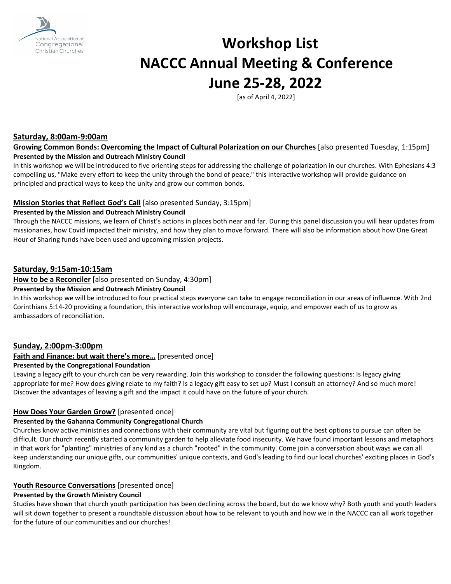

# **Workshop List NACCC Annual Meeting & Conference June 25-28, 2022**

[as of April 4, 2022]

# **Saturday, 8:00am-9:00am**

**Growing Common Bonds: Overcoming the Impact of Cultural Polarization on our Churches** [also presented Tuesday, 1:15pm] **Presented by the Mission and Outreach Ministry Council**

In this workshop we will be introduced to five orienting steps for addressing the challenge of polarization in our churches. With Ephesians 4:3 compelling us, "Make every effort to keep the unity through the bond of peace," this interactive workshop will provide guidance on principled and practical ways to keep the unity and grow our common bonds.

# **Mission Stories that Reflect God's Call** [also presented Sunday, 3:15pm]

# **Presented by the Mission and Outreach Ministry Council**

Through the NACCC missions, we learn of Christ's actions in places both near and far. During this panel discussion you will hear updates from missionaries, how Covid impacted their ministry, and how they plan to move forward. There will also be information about how One Great Hour of Sharing funds have been used and upcoming mission projects.

# **Saturday, 9:15am-10:15am**

#### **How to be a Reconciler** [also presented on Sunday, 4:30pm]

#### **Presented by the Mission and Outreach Ministry Council**

In this workshop we will be introduced to four practical steps everyone can take to engage reconciliation in our areas of influence. With 2nd Corinthians 5:14-20 providing a foundation, this interactive workshop will encourage, equip, and empower each of us to grow as ambassadors of reconciliation.

# **Sunday, 2:00pm-3:00pm**

#### **Faith and Finance: but wait there's more…** [presented once]

#### **Presented by the Congregational Foundation**

Leaving a legacy gift to your church can be very rewarding. Join this workshop to consider the following questions: Is legacy giving appropriate for me? How does giving relate to my faith? Is a legacy gift easy to set up? Must I consult an attorney? And so much more! Discover the advantages of leaving a gift and the impact it could have on the future of your church.

# **How Does Your Garden Grow?** [presented once]

#### **Presented by the Gahanna Community Congregational Church**

Churches know active ministries and connections with their community are vital but figuring out the best options to pursue can often be difficult. Our church recently started a community garden to help alleviate food insecurity. We have found important lessons and metaphors in that work for "planting" ministries of any kind as a church "rooted" in the community. Come join a conversation about ways we can all keep understanding our unique gifts, our communities' unique contexts, and God's leading to find our local churches' exciting places in God's Kingdom.

# **Youth Resource Conversations** [presented once]

#### **Presented by the Growth Ministry Council**

Studies have shown that church youth participation has been declining across the board, but do we know why? Both youth and youth leaders will sit down together to present a roundtable discussion about how to be relevant to youth and how we in the NACCC can all work together for the future of our communities and our churches!